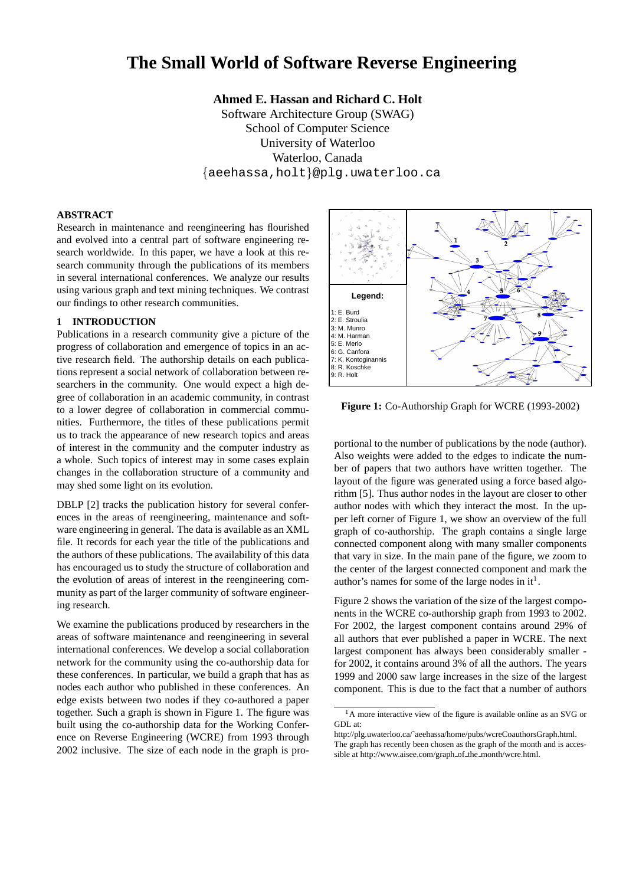# **The Small World of Software Reverse Engineering**

**Ahmed E. Hassan and Richard C. Holt** Software Architecture Group (SWAG) School of Computer Science University of Waterloo Waterloo, Canada {aeehassa,holt}@plg.uwaterloo.ca

# **ABSTRACT**

Research in maintenance and reengineering has flourished and evolved into a central part of software engineering research worldwide. In this paper, we have a look at this research community through the publications of its members in several international conferences. We analyze our results using various graph and text mining techniques. We contrast our findings to other research communities.

# **1 INTRODUCTION**

Publications in a research community give a picture of the progress of collaboration and emergence of topics in an active research field. The authorship details on each publications represent a social network of collaboration between researchers in the community. One would expect a high degree of collaboration in an academic community, in contrast to a lower degree of collaboration in commercial communities. Furthermore, the titles of these publications permit us to track the appearance of new research topics and areas of interest in the community and the computer industry as a whole. Such topics of interest may in some cases explain changes in the collaboration structure of a community and may shed some light on its evolution.

DBLP [2] tracks the publication history for several conferences in the areas of reengineering, maintenance and software engineering in general. The data is available as an XML file. It records for each year the title of the publications and the authors of these publications. The availability of this data has encouraged us to study the structure of collaboration and the evolution of areas of interest in the reengineering community as part of the larger community of software engineering research.

We examine the publications produced by researchers in the areas of software maintenance and reengineering in several international conferences. We develop a social collaboration network for the community using the co-authorship data for these conferences. In particular, we build a graph that has as nodes each author who published in these conferences. An edge exists between two nodes if they co-authored a paper together. Such a graph is shown in Figure 1. The figure was built using the co-authorship data for the Working Conference on Reverse Engineering (WCRE) from 1993 through 2002 inclusive. The size of each node in the graph is pro-



**Figure 1:** Co-Authorship Graph for WCRE (1993-2002)

portional to the number of publications by the node (author). Also weights were added to the edges to indicate the number of papers that two authors have written together. The layout of the figure was generated using a force based algorithm [5]. Thus author nodes in the layout are closer to other author nodes with which they interact the most. In the upper left corner of Figure 1, we show an overview of the full graph of co-authorship. The graph contains a single large connected component along with many smaller components that vary in size. In the main pane of the figure, we zoom to the center of the largest connected component and mark the author's names for some of the large nodes in  $it<sup>1</sup>$ .

Figure 2 shows the variation of the size of the largest components in the WCRE co-authorship graph from 1993 to 2002. For 2002, the largest component contains around 29% of all authors that ever published a paper in WCRE. The next largest component has always been considerably smaller for 2002, it contains around 3% of all the authors. The years 1999 and 2000 saw large increases in the size of the largest component. This is due to the fact that a number of authors

 $1A$  more interactive view of the figure is available online as an SVG or GDL at:

http://plg.uwaterloo.ca/˜aeehassa/home/pubs/wcreCoauthorsGraph.html. The graph has recently been chosen as the graph of the month and is accessible at http://www.aisee.com/graph\_of\_the\_month/wcre.html.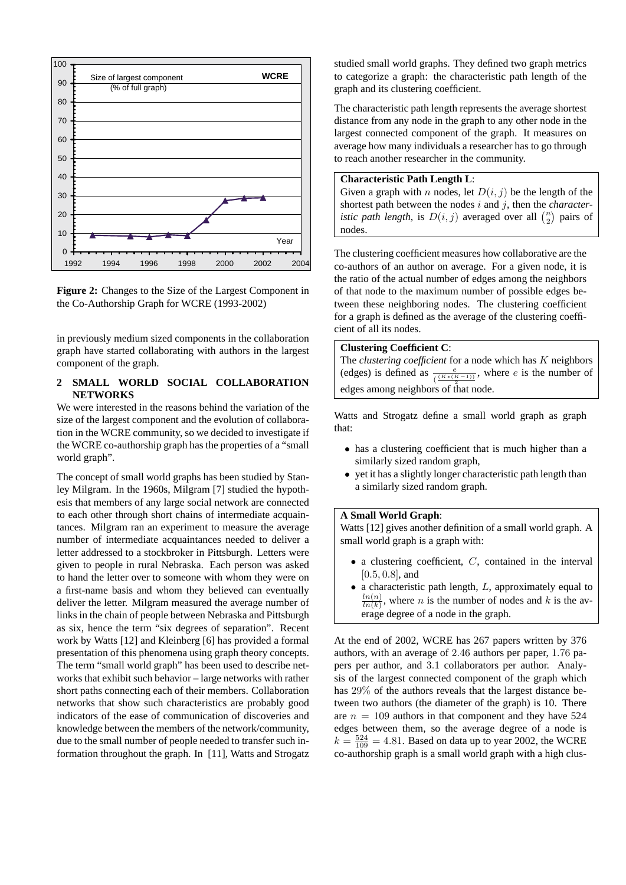

**Figure 2:** Changes to the Size of the Largest Component in the Co-Authorship Graph for WCRE (1993-2002)

in previously medium sized components in the collaboration graph have started collaborating with authors in the largest component of the graph.

# **2 SMALL WORLD SOCIAL COLLABORATION NETWORKS**

We were interested in the reasons behind the variation of the size of the largest component and the evolution of collaboration in the WCRE community, so we decided to investigate if the WCRE co-authorship graph has the properties of a "small world graph".

The concept of small world graphs has been studied by Stanley Milgram. In the 1960s, Milgram [7] studied the hypothesis that members of any large social network are connected to each other through short chains of intermediate acquaintances. Milgram ran an experiment to measure the average number of intermediate acquaintances needed to deliver a letter addressed to a stockbroker in Pittsburgh. Letters were given to people in rural Nebraska. Each person was asked to hand the letter over to someone with whom they were on a first-name basis and whom they believed can eventually deliver the letter. Milgram measured the average number of links in the chain of people between Nebraska and Pittsburgh as six, hence the term "six degrees of separation". Recent work by Watts [12] and Kleinberg [6] has provided a formal presentation of this phenomena using graph theory concepts. The term "small world graph" has been used to describe networks that exhibit such behavior – large networks with rather short paths connecting each of their members. Collaboration networks that show such characteristics are probably good indicators of the ease of communication of discoveries and knowledge between the members of the network/community, due to the small number of people needed to transfer such information throughout the graph. In [11], Watts and Strogatz

studied small world graphs. They defined two graph metrics to categorize a graph: the characteristic path length of the graph and its clustering coefficient.

The characteristic path length represents the average shortest distance from any node in the graph to any other node in the largest connected component of the graph. It measures on average how many individuals a researcher has to go through to reach another researcher in the community.

## **Characteristic Path Length L**:

Given a graph with n nodes, let  $D(i, j)$  be the length of the shortest path between the nodes i and j, then the *characteristic path length*, is  $D(i, j)$  averaged over all  $\binom{n}{2}$  pairs of nodes.

The clustering coefficient measures how collaborative are the co-authors of an author on average. For a given node, it is the ratio of the actual number of edges among the neighbors of that node to the maximum number of possible edges between these neighboring nodes. The clustering coefficient for a graph is defined as the average of the clustering coefficient of all its nodes.

#### **Clustering Coefficient C**:

The *clustering coefficient* for a node which has K neighbors (edges) is defined as  $\frac{e}{(\frac{(K*(K-1))}{2})}$ , where *e* is the number of edges among neighbors of that node.

Watts and Strogatz define a small world graph as graph that:

- has a clustering coefficient that is much higher than a similarly sized random graph,
- yet it has a slightly longer characteristic path length than a similarly sized random graph.

## **A Small World Graph**:

Watts [12] gives another definition of a small world graph. A small world graph is a graph with:

- $\bullet$  a clustering coefficient,  $C$ , contained in the interval  $[0.5, 0.8]$ , and
- $\bullet$  a characteristic path length,  $L$ , approximately equal to  $ln(n)$  $\frac{dn(n)}{ln(k)}$ , where *n* is the number of nodes and *k* is the average degree of a node in the graph.

At the end of 2002, WCRE has 267 papers written by 376 authors, with an average of 2.46 authors per paper, 1.76 papers per author, and 3.1 collaborators per author. Analysis of the largest connected component of the graph which has 29% of the authors reveals that the largest distance between two authors (the diameter of the graph) is 10. There are  $n = 109$  authors in that component and they have 524 edges between them, so the average degree of a node is  $k = \frac{524}{109} = 4.81$ . Based on data up to year 2002, the WCRE co-authorship graph is a small world graph with a high clus-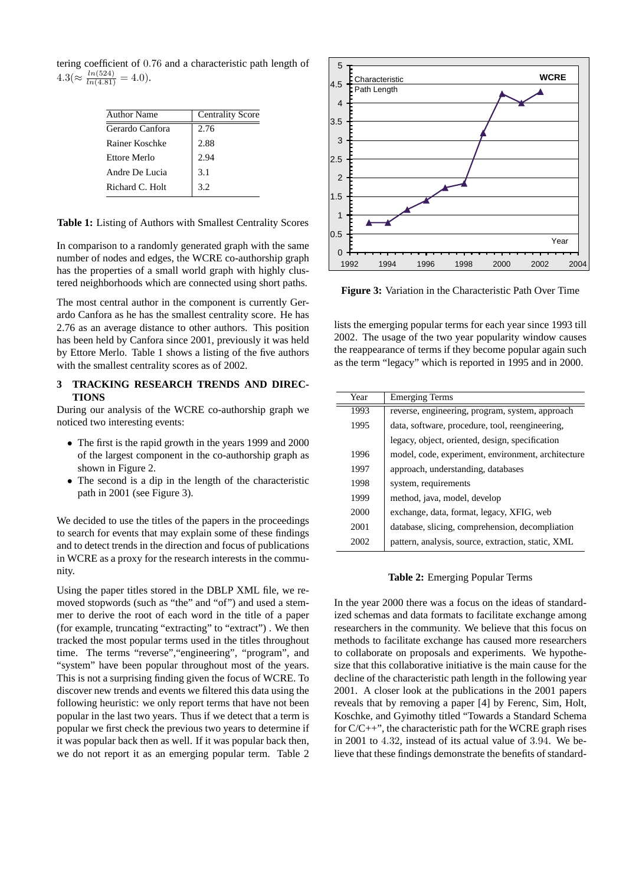tering coefficient of 0.76 and a characteristic path length of  $4.3(\approx \frac{\ln(524)}{\ln(4.81)} = 4.0).$ 

| <b>Author Name</b> | <b>Centrality Score</b> |  |  |  |
|--------------------|-------------------------|--|--|--|
| Gerardo Canfora    | 2.76                    |  |  |  |
| Rainer Koschke     | 2.88                    |  |  |  |
| Ettore Merlo       | 2.94                    |  |  |  |
| Andre De Lucia     | 3.1                     |  |  |  |
| Richard C. Holt    | 32                      |  |  |  |

**Table 1:** Listing of Authors with Smallest Centrality Scores

In comparison to a randomly generated graph with the same number of nodes and edges, the WCRE co-authorship graph has the properties of a small world graph with highly clustered neighborhoods which are connected using short paths.

The most central author in the component is currently Gerardo Canfora as he has the smallest centrality score. He has 2.76 as an average distance to other authors. This position has been held by Canfora since 2001, previously it was held by Ettore Merlo. Table 1 shows a listing of the five authors with the smallest centrality scores as of 2002.

# **3 TRACKING RESEARCH TRENDS AND DIREC-TIONS**

During our analysis of the WCRE co-authorship graph we noticed two interesting events:

- The first is the rapid growth in the years 1999 and 2000 of the largest component in the co-authorship graph as shown in Figure 2.
- The second is a dip in the length of the characteristic path in 2001 (see Figure 3).

We decided to use the titles of the papers in the proceedings to search for events that may explain some of these findings and to detect trends in the direction and focus of publications in WCRE as a proxy for the research interests in the community.

Using the paper titles stored in the DBLP XML file, we removed stopwords (such as "the" and "of") and used a stemmer to derive the root of each word in the title of a paper (for example, truncating "extracting" to "extract") . We then tracked the most popular terms used in the titles throughout time. The terms "reverse","engineering", "program", and "system" have been popular throughout most of the years. This is not a surprising finding given the focus of WCRE. To discover new trends and events we filtered this data using the following heuristic: we only report terms that have not been popular in the last two years. Thus if we detect that a term is popular we first check the previous two years to determine if it was popular back then as well. If it was popular back then, we do not report it as an emerging popular term. Table 2



**Figure 3:** Variation in the Characteristic Path Over Time

lists the emerging popular terms for each year since 1993 till 2002. The usage of the two year popularity window causes the reappearance of terms if they become popular again such as the term "legacy" which is reported in 1995 and in 2000.

| Year | <b>Emerging Terms</b>                              |
|------|----------------------------------------------------|
| 1993 | reverse, engineering, program, system, approach    |
| 1995 | data, software, procedure, tool, reengineering,    |
|      | legacy, object, oriented, design, specification    |
| 1996 | model, code, experiment, environment, architecture |
| 1997 | approach, understanding, databases                 |
| 1998 | system, requirements                               |
| 1999 | method, java, model, develop                       |
| 2000 | exchange, data, format, legacy, XFIG, web          |
| 2001 | database, slicing, comprehension, decompliation    |
| 2002 | pattern, analysis, source, extraction, static, XML |
|      |                                                    |

## **Table 2:** Emerging Popular Terms

In the year 2000 there was a focus on the ideas of standardized schemas and data formats to facilitate exchange among researchers in the community. We believe that this focus on methods to facilitate exchange has caused more researchers to collaborate on proposals and experiments. We hypothesize that this collaborative initiative is the main cause for the decline of the characteristic path length in the following year 2001. A closer look at the publications in the 2001 papers reveals that by removing a paper [4] by Ferenc, Sim, Holt, Koschke, and Gyimothy titled "Towards a Standard Schema for  $C/C++$ ", the characteristic path for the WCRE graph rises in 2001 to 4.32, instead of its actual value of 3.94. We believe that these findings demonstrate the benefits of standard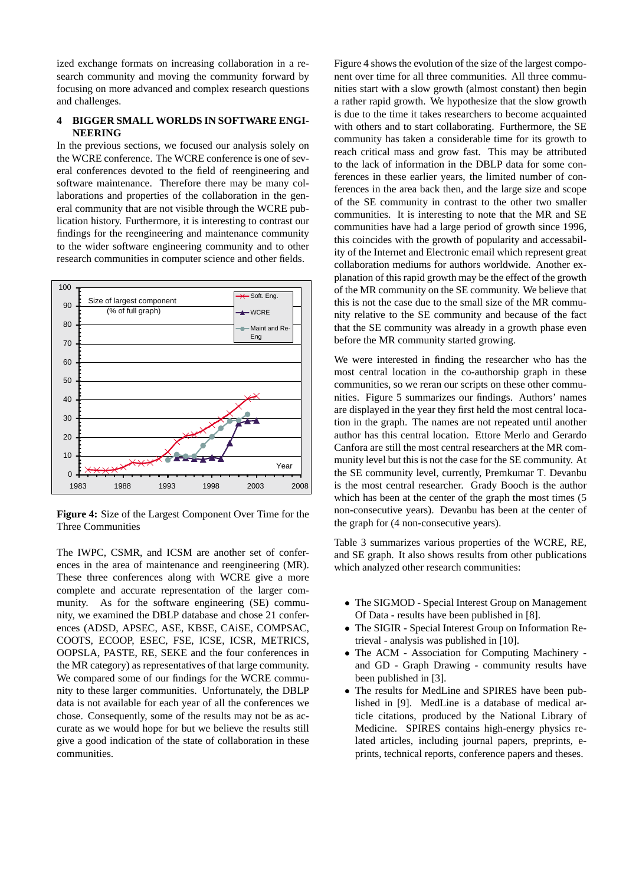ized exchange formats on increasing collaboration in a research community and moving the community forward by focusing on more advanced and complex research questions and challenges.

# **4 BIGGER SMALL WORLDS IN SOFTWARE ENGI-NEERING**

In the previous sections, we focused our analysis solely on the WCRE conference. The WCRE conference is one of several conferences devoted to the field of reengineering and software maintenance. Therefore there may be many collaborations and properties of the collaboration in the general community that are not visible through the WCRE publication history. Furthermore, it is interesting to contrast our findings for the reengineering and maintenance community to the wider software engineering community and to other research communities in computer science and other fields.



**Figure 4:** Size of the Largest Component Over Time for the Three Communities

The IWPC, CSMR, and ICSM are another set of conferences in the area of maintenance and reengineering (MR). These three conferences along with WCRE give a more complete and accurate representation of the larger community. As for the software engineering (SE) community, we examined the DBLP database and chose 21 conferences (ADSD, APSEC, ASE, KBSE, CAiSE, COMPSAC, COOTS, ECOOP, ESEC, FSE, ICSE, ICSR, METRICS, OOPSLA, PASTE, RE, SEKE and the four conferences in the MR category) as representatives of that large community. We compared some of our findings for the WCRE community to these larger communities. Unfortunately, the DBLP data is not available for each year of all the conferences we chose. Consequently, some of the results may not be as accurate as we would hope for but we believe the results still give a good indication of the state of collaboration in these communities.

Figure 4 shows the evolution of the size of the largest component over time for all three communities. All three communities start with a slow growth (almost constant) then begin a rather rapid growth. We hypothesize that the slow growth is due to the time it takes researchers to become acquainted with others and to start collaborating. Furthermore, the SE community has taken a considerable time for its growth to reach critical mass and grow fast. This may be attributed to the lack of information in the DBLP data for some conferences in these earlier years, the limited number of conferences in the area back then, and the large size and scope of the SE community in contrast to the other two smaller communities. It is interesting to note that the MR and SE communities have had a large period of growth since 1996, this coincides with the growth of popularity and accessability of the Internet and Electronic email which represent great collaboration mediums for authors worldwide. Another explanation of this rapid growth may be the effect of the growth of the MR community on the SE community. We believe that this is not the case due to the small size of the MR community relative to the SE community and because of the fact that the SE community was already in a growth phase even before the MR community started growing.

We were interested in finding the researcher who has the most central location in the co-authorship graph in these communities, so we reran our scripts on these other communities. Figure 5 summarizes our findings. Authors' names are displayed in the year they first held the most central location in the graph. The names are not repeated until another author has this central location. Ettore Merlo and Gerardo Canfora are still the most central researchers at the MR community level but this is not the case for the SE community. At the SE community level, currently, Premkumar T. Devanbu is the most central researcher. Grady Booch is the author which has been at the center of the graph the most times  $(5)$ non-consecutive years). Devanbu has been at the center of the graph for (4 non-consecutive years).

Table 3 summarizes various properties of the WCRE, RE, and SE graph. It also shows results from other publications which analyzed other research communities:

- The SIGMOD Special Interest Group on Management Of Data - results have been published in [8].
- The SIGIR Special Interest Group on Information Retrieval - analysis was published in [10].
- The ACM Association for Computing Machinery and GD - Graph Drawing - community results have been published in [3].
- The results for MedLine and SPIRES have been published in [9]. MedLine is a database of medical article citations, produced by the National Library of Medicine. SPIRES contains high-energy physics related articles, including journal papers, preprints, eprints, technical reports, conference papers and theses.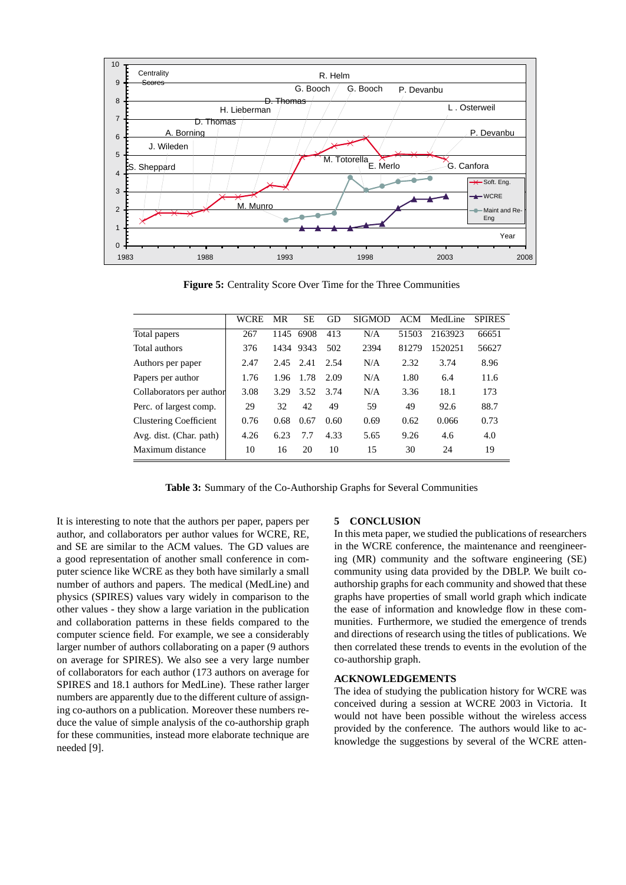

**Figure 5:** Centrality Score Over Time for the Three Communities

|                               | <b>WCRE</b> | MR   | <b>SE</b> | GD   | <b>SIGMOD</b> | <b>ACM</b> | MedLine | <b>SPIRES</b> |
|-------------------------------|-------------|------|-----------|------|---------------|------------|---------|---------------|
| Total papers                  | 267         | 1145 | 6908      | 413  | N/A           | 51503      | 2163923 | 66651         |
| Total authors                 | 376         | 1434 | 9343      | 502  | 2394          | 81279      | 1520251 | 56627         |
| Authors per paper             | 2.47        | 2.45 | 2.41      | 2.54 | N/A           | 2.32       | 3.74    | 8.96          |
| Papers per author             | 1.76        | 1.96 | 1.78      | 2.09 | N/A           | 1.80       | 6.4     | 11.6          |
| Collaborators per author      | 3.08        | 3.29 | 3.52      | 3.74 | N/A           | 3.36       | 18.1    | 173           |
| Perc. of largest comp.        | 29          | 32   | 42        | 49   | 59            | 49         | 92.6    | 88.7          |
| <b>Clustering Coefficient</b> | 0.76        | 0.68 | 0.67      | 0.60 | 0.69          | 0.62       | 0.066   | 0.73          |
| Avg. dist. (Char. path)       | 4.26        | 6.23 | 7.7       | 4.33 | 5.65          | 9.26       | 4.6     | 4.0           |
| Maximum distance              | 10          | 16   | 20        | 10   | 15            | 30         | 24      | 19            |

**Table 3:** Summary of the Co-Authorship Graphs for Several Communities

It is interesting to note that the authors per paper, papers per author, and collaborators per author values for WCRE, RE, and SE are similar to the ACM values. The GD values are a good representation of another small conference in computer science like WCRE as they both have similarly a small number of authors and papers. The medical (MedLine) and physics (SPIRES) values vary widely in comparison to the other values - they show a large variation in the publication and collaboration patterns in these fields compared to the computer science field. For example, we see a considerably larger number of authors collaborating on a paper (9 authors on average for SPIRES). We also see a very large number of collaborators for each author (173 authors on average for SPIRES and 18.1 authors for MedLine). These rather larger numbers are apparently due to the different culture of assigning co-authors on a publication. Moreover these numbers reduce the value of simple analysis of the co-authorship graph for these communities, instead more elaborate technique are needed [9].

## **5 CONCLUSION**

In this meta paper, we studied the publications of researchers in the WCRE conference, the maintenance and reengineering (MR) community and the software engineering (SE) community using data provided by the DBLP. We built coauthorship graphs for each community and showed that these graphs have properties of small world graph which indicate the ease of information and knowledge flow in these communities. Furthermore, we studied the emergence of trends and directions of research using the titles of publications. We then correlated these trends to events in the evolution of the co-authorship graph.

# **ACKNOWLEDGEMENTS**

The idea of studying the publication history for WCRE was conceived during a session at WCRE 2003 in Victoria. It would not have been possible without the wireless access provided by the conference. The authors would like to acknowledge the suggestions by several of the WCRE atten